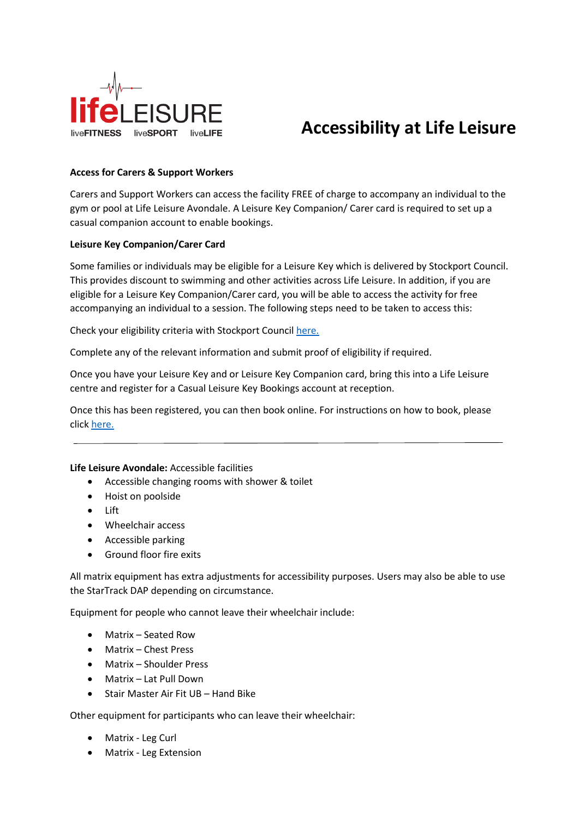

# **Accessibility at Life Leisure**

#### **Access for Carers & Support Workers**

Carers and Support Workers can access the facility FREE of charge to accompany an individual to the gym or pool at Life Leisure Avondale. A Leisure Key Companion/ Carer card is required to set up a casual companion account to enable bookings.

#### **Leisure Key Companion/Carer Card**

Some families or individuals may be eligible for a Leisure Key which is delivered by Stockport Council. This provides discount to swimming and other activities across Life Leisure. In addition, if you are eligible for a Leisure Key Companion/Carer card, you will be able to access the activity for free accompanying an individual to a session. The following steps need to be taken to access this:

Check your eligibility criteria with Stockport Counci[l here.](https://www.stockport.gov.uk/leisure-key)

Complete any of the relevant information and submit proof of eligibility if required.

Once you have your Leisure Key and or Leisure Key Companion card, bring this into a Life Leisure centre and register for a Casual Leisure Key Bookings account at reception.

Once this has been registered, you can then book online. For instructions on how to book, please click [here.](https://www.lifeleisure.net/covid19-latest-updates/how-to-book-online/)

#### **Life Leisure Avondale:** Accessible facilities

- Accessible changing rooms with shower & toilet
- Hoist on poolside
- Lift
- Wheelchair access
- Accessible parking
- Ground floor fire exits

All matrix equipment has extra adjustments for accessibility purposes. Users may also be able to use the StarTrack DAP depending on circumstance.

Equipment for people who cannot leave their wheelchair include:

- Matrix Seated Row
- Matrix Chest Press
- Matrix Shoulder Press
- Matrix Lat Pull Down
- Stair Master Air Fit UB Hand Bike

Other equipment for participants who can leave their wheelchair:

- Matrix Leg Curl
- Matrix Leg Extension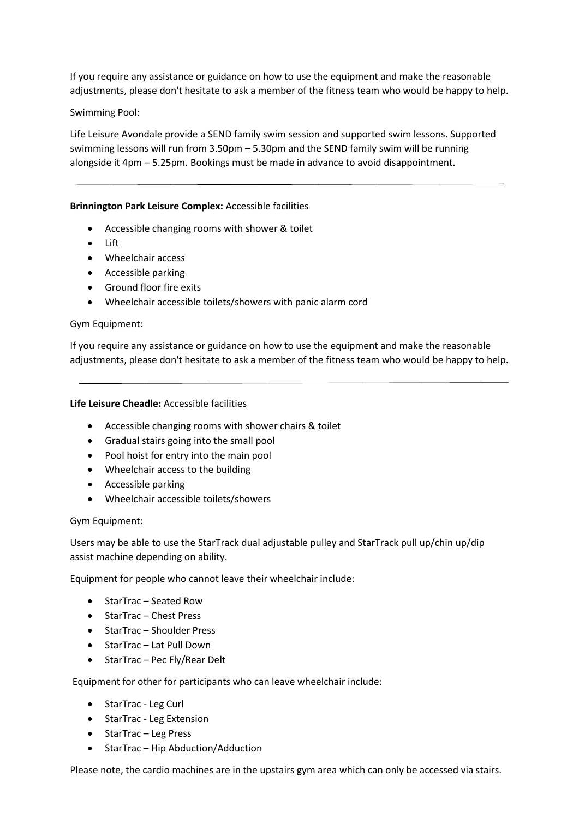If you require any assistance or guidance on how to use the equipment and make the reasonable adjustments, please don't hesitate to ask a member of the fitness team who would be happy to help.

Swimming Pool:

Life Leisure Avondale provide a SEND family swim session and supported swim lessons. Supported swimming lessons will run from 3.50pm – 5.30pm and the SEND family swim will be running alongside it 4pm – 5.25pm. Bookings must be made in advance to avoid disappointment.

## **Brinnington Park Leisure Complex:** Accessible facilities

- Accessible changing rooms with shower & toilet
- Lift
- Wheelchair access
- Accessible parking
- Ground floor fire exits
- Wheelchair accessible toilets/showers with panic alarm cord

#### Gym Equipment:

If you require any assistance or guidance on how to use the equipment and make the reasonable adjustments, please don't hesitate to ask a member of the fitness team who would be happy to help.

#### **Life Leisure Cheadle:** Accessible facilities

- Accessible changing rooms with shower chairs & toilet
- Gradual stairs going into the small pool
- Pool hoist for entry into the main pool
- Wheelchair access to the building
- Accessible parking
- Wheelchair accessible toilets/showers

#### Gym Equipment:

Users may be able to use the StarTrack dual adjustable pulley and StarTrack pull up/chin up/dip assist machine depending on ability.

Equipment for people who cannot leave their wheelchair include:

- StarTrac Seated Row
- StarTrac Chest Press
- StarTrac Shoulder Press
- StarTrac Lat Pull Down
- StarTrac Pec Fly/Rear Delt

Equipment for other for participants who can leave wheelchair include:

- StarTrac Leg Curl
- StarTrac Leg Extension
- StarTrac Leg Press
- StarTrac Hip Abduction/Adduction

Please note, the cardio machines are in the upstairs gym area which can only be accessed via stairs.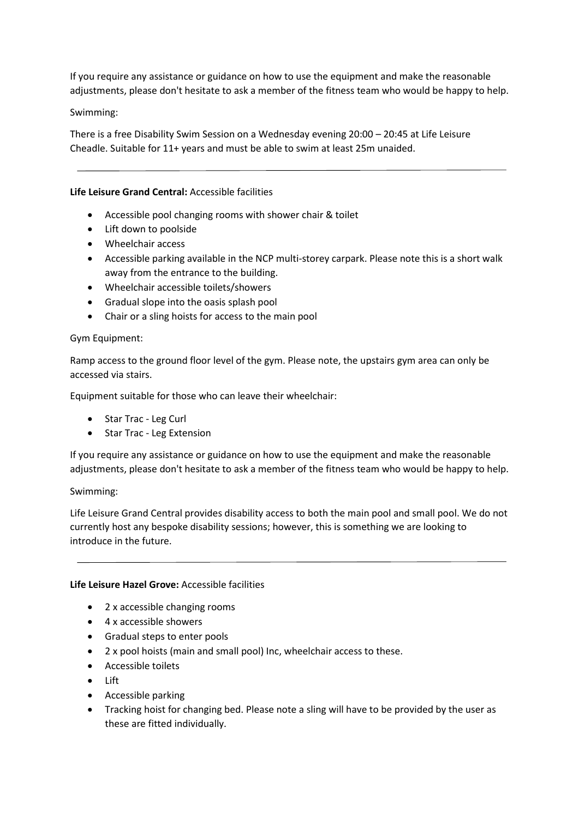If you require any assistance or guidance on how to use the equipment and make the reasonable adjustments, please don't hesitate to ask a member of the fitness team who would be happy to help.

# Swimming:

There is a free Disability Swim Session on a Wednesday evening 20:00 – 20:45 at Life Leisure Cheadle. Suitable for 11+ years and must be able to swim at least 25m unaided.

# **Life Leisure Grand Central:** Accessible facilities

- Accessible pool changing rooms with shower chair & toilet
- Lift down to poolside
- Wheelchair access
- Accessible parking available in the NCP multi-storey carpark. Please note this is a short walk away from the entrance to the building.
- Wheelchair accessible toilets/showers
- Gradual slope into the oasis splash pool
- Chair or a sling hoists for access to the main pool

# Gym Equipment:

Ramp access to the ground floor level of the gym. Please note, the upstairs gym area can only be accessed via stairs.

Equipment suitable for those who can leave their wheelchair:

- Star Trac Leg Curl
- Star Trac Leg Extension

If you require any assistance or guidance on how to use the equipment and make the reasonable adjustments, please don't hesitate to ask a member of the fitness team who would be happy to help.

#### Swimming:

Life Leisure Grand Central provides disability access to both the main pool and small pool. We do not currently host any bespoke disability sessions; however, this is something we are looking to introduce in the future.

#### **Life Leisure Hazel Grove:** Accessible facilities

- 2 x accessible changing rooms
- 4 x accessible showers
- Gradual steps to enter pools
- 2 x pool hoists (main and small pool) Inc, wheelchair access to these.
- Accessible toilets
- Lift
- Accessible parking
- Tracking hoist for changing bed. Please note a sling will have to be provided by the user as these are fitted individually.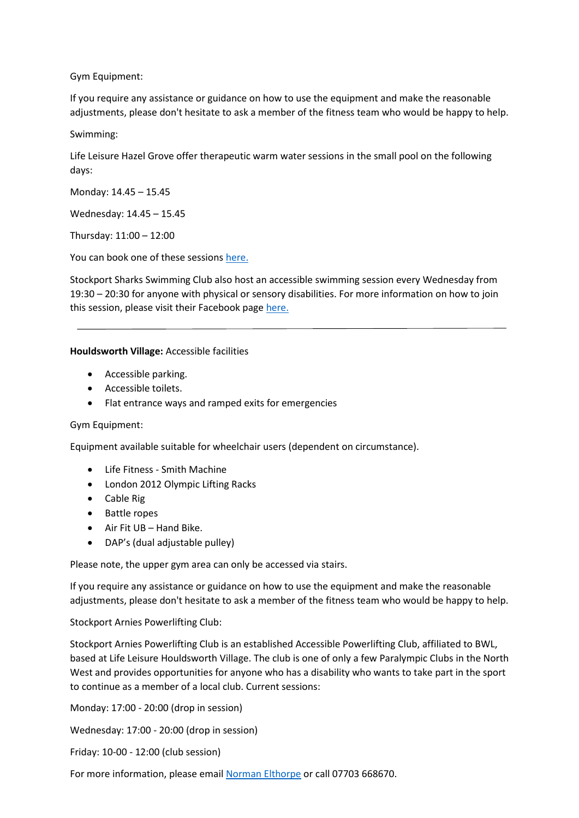Gym Equipment:

If you require any assistance or guidance on how to use the equipment and make the reasonable adjustments, please don't hesitate to ask a member of the fitness team who would be happy to help.

Swimming:

Life Leisure Hazel Grove offer therapeutic warm water sessions in the small pool on the following days:

Monday: 14.45 – 15.45

Wednesday: 14.45 – 15.45

Thursday: 11:00 – 12:00

You can book one of these sessions [here.](https://www.lifeleisure.net/enterprise/ticketing/browse?StartDate=2021-10-19&ActivityId=11&LocationId=20)

Stockport Sharks Swimming Club also host an accessible swimming session every Wednesday from 19:30 – 20:30 for anyone with physical or sensory disabilities. For more information on how to join this session, please visit their Facebook pag[e here.](https://www.facebook.com/SharksSwimmingClub/)

#### **Houldsworth Village:** Accessible facilities

- Accessible parking.
- Accessible toilets.
- Flat entrance ways and ramped exits for emergencies

#### Gym Equipment:

Equipment available suitable for wheelchair users (dependent on circumstance).

- Life Fitness Smith Machine
- London 2012 Olympic Lifting Racks
- Cable Rig
- Battle ropes
- Air Fit UB Hand Bike.
- DAP's (dual adjustable pulley)

Please note, the upper gym area can only be accessed via stairs.

If you require any assistance or guidance on how to use the equipment and make the reasonable adjustments, please don't hesitate to ask a member of the fitness team who would be happy to help.

#### Stockport Arnies Powerlifting Club:

Stockport Arnies Powerlifting Club is an established Accessible Powerlifting Club, affiliated to BWL, based at Life Leisure Houldsworth Village. The club is one of only a few Paralympic Clubs in the North West and provides opportunities for anyone who has a disability who wants to take part in the sport to continue as a member of a local club. Current sessions:

Monday: 17:00 - 20:00 (drop in session)

Wednesday: 17:00 - 20:00 (drop in session)

Friday: 10-00 - 12:00 (club session)

For more information, please email [Norman Elthorpe](mailto:norman.elthorpe@ntlworld.com?subject=Arnies%20Powerlifting%20Club%20Enquiry%20) or call 07703 668670.